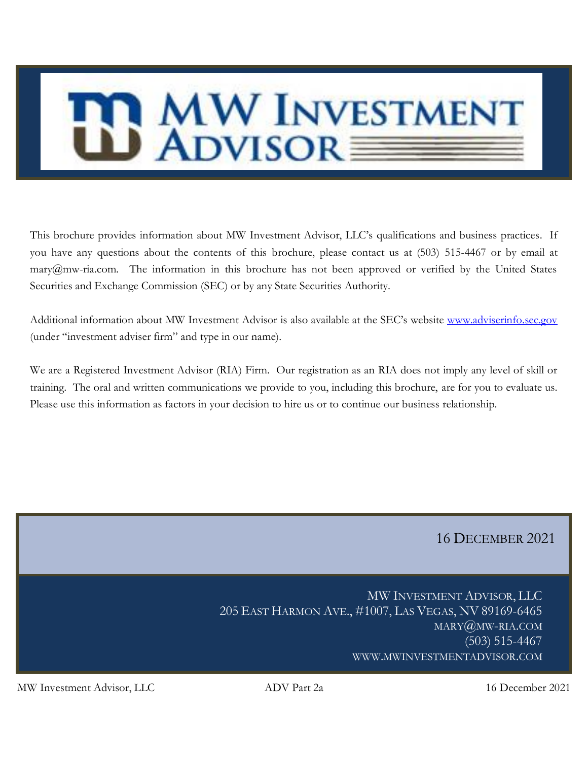# <span id="page-0-0"></span>MW INVESTMENT

This brochure provides information about MW Investment Advisor, LLC's qualifications and business practices. If you have any questions about the contents of this brochure, please contact us at (503) 515-4467 or by email at mary@mw-ria.com. The information in this brochure has not been approved or verified by the United States Securities and Exchange Commission (SEC) or by any State Securities Authority.

Additional information about MW Investment Advisor is also available at the SEC's website [www.adviserinfo.sec.gov](http://www.adviserinfo.sec.gov/) (under "investment adviser firm" and type in our name).

We are a Registered Investment Advisor (RIA) Firm. Our registration as an RIA does not imply any level of skill or training. The oral and written communications we provide to you, including this brochure, are for you to evaluate us. Please use this information as factors in your decision to hire us or to continue our business relationship.

# 16 DECEMBER 2021

MW INVESTMENT ADVISOR, LLC 205 EAST HARMON AVE., #1007, LAS VEGAS, NV 89169-6465 MARY@MW-RIA.COM (503) 515-4467 WWW.MWINVESTMENTADVISOR.COM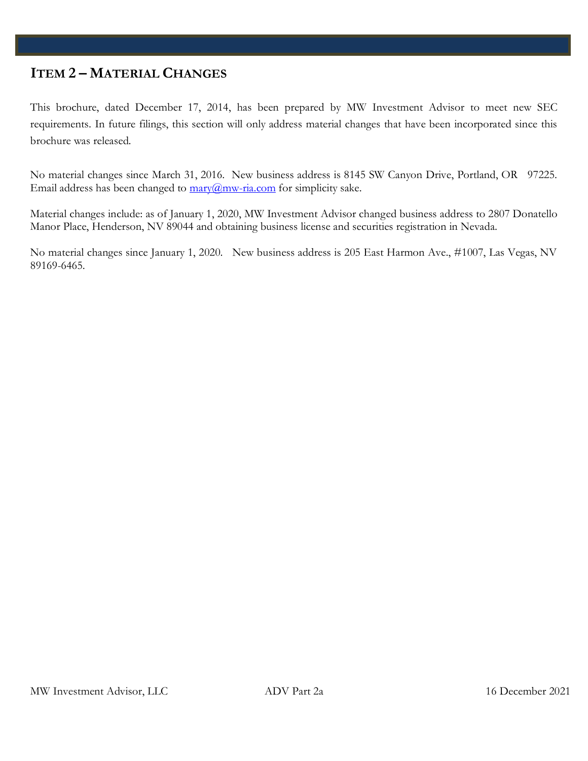# **ITEM 2 – MATERIAL CHANGES**

This brochure, dated December 17, 2014, has been prepared by MW Investment Advisor to meet new SEC requirements. In future filings, this section will only address material changes that have been incorporated since this brochure was released.

No material changes since March 31, 2016. New business address is 8145 SW Canyon Drive, Portland, OR 97225. Email address has been changed to  $\frac{mary(\hat{a})}{m}$ -ria.com for simplicity sake.

Material changes include: as of January 1, 2020, MW Investment Advisor changed business address to 2807 Donatello Manor Place, Henderson, NV 89044 and obtaining business license and securities registration in Nevada.

<span id="page-1-0"></span>No material changes since January 1, 2020. New business address is 205 East Harmon Ave., #1007, Las Vegas, NV 89169-6465.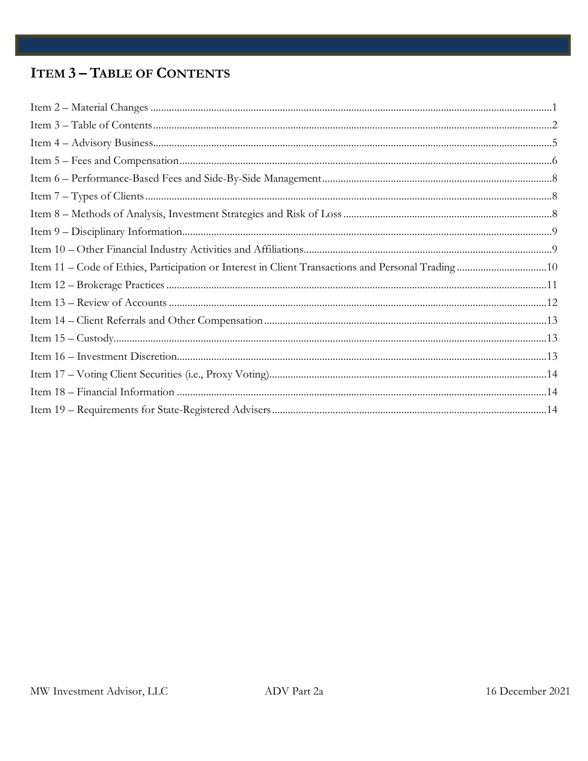# **ITEM 3-TABLE OF CONTENTS**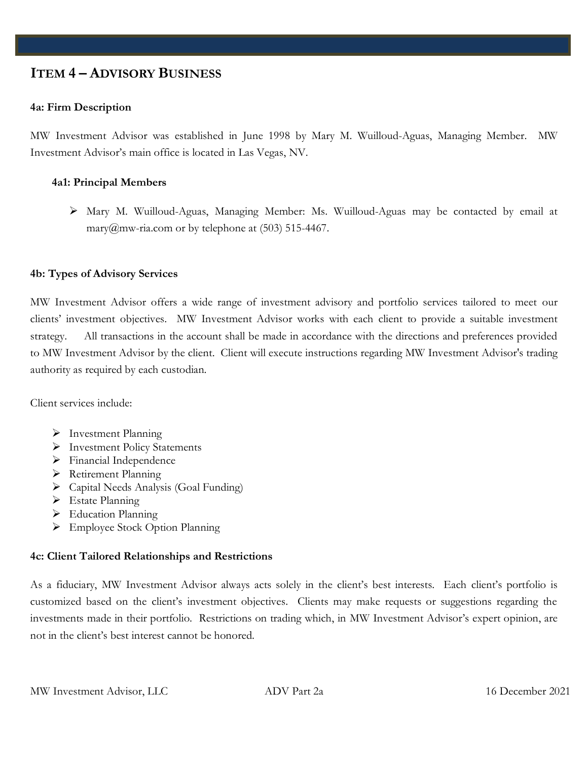# <span id="page-4-0"></span>**ITEM 4 – ADVISORY BUSINESS**

## **4a: Firm Description**

MW Investment Advisor was established in June 1998 by Mary M. Wuilloud-Aguas, Managing Member. MW Investment Advisor's main office is located in Las Vegas, NV.

## **4a1: Principal Members**

➢ Mary M. Wuilloud-Aguas, Managing Member: Ms. Wuilloud-Aguas may be contacted by email at mary@mw-ria.com or by telephone at  $(503)$  515-4467.

## **4b: Types of Advisory Services**

MW Investment Advisor offers a wide range of investment advisory and portfolio services tailored to meet our clients' investment objectives. MW Investment Advisor works with each client to provide a suitable investment strategy. All transactions in the account shall be made in accordance with the directions and preferences provided to MW Investment Advisor by the client. Client will execute instructions regarding MW Investment Advisor's trading authority as required by each custodian.

Client services include:

- ➢ Investment Planning
- ➢ Investment Policy Statements
- ➢ Financial Independence
- ➢ Retirement Planning
- ➢ Capital Needs Analysis (Goal Funding)
- ➢ Estate Planning
- ➢ Education Planning
- ➢ Employee Stock Option Planning

## **4c: Client Tailored Relationships and Restrictions**

As a fiduciary, MW Investment Advisor always acts solely in the client's best interests. Each client's portfolio is customized based on the client's investment objectives. Clients may make requests or suggestions regarding the investments made in their portfolio. Restrictions on trading which, in MW Investment Advisor's expert opinion, are not in the client's best interest cannot be honored.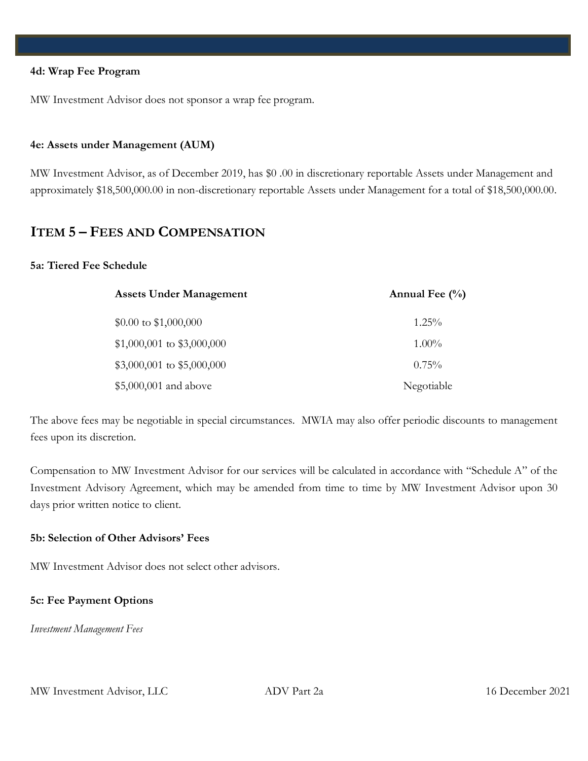#### **4d: Wrap Fee Program**

MW Investment Advisor does not sponsor a wrap fee program.

#### **4e: Assets under Management (AUM)**

MW Investment Advisor, as of December 2019, has \$0 .00 in discretionary reportable Assets under Management and approximately \$18,500,000.00 in non-discretionary reportable Assets under Management for a total of \$18,500,000.00.

# <span id="page-5-0"></span>**ITEM 5 – FEES AND COMPENSATION**

## **5a: Tiered Fee Schedule**

| <b>Assets Under Management</b> | Annual Fee $(\%$ |
|--------------------------------|------------------|
| $$0.00 \text{ to } $1,000,000$ | $1.25\%$         |
| $$1,000,001$ to $$3,000,000$   | $1.00\%$         |
| $$3,000,001$ to \$5,000,000    | $0.75\%$         |
| \$5,000,001 and above          | Negotiable       |

The above fees may be negotiable in special circumstances. MWIA may also offer periodic discounts to management fees upon its discretion.

Compensation to MW Investment Advisor for our services will be calculated in accordance with "Schedule A" of the Investment Advisory Agreement, which may be amended from time to time by MW Investment Advisor upon 30 days prior written notice to client.

## **5b: Selection of Other Advisors' Fees**

MW Investment Advisor does not select other advisors.

## **5c: Fee Payment Options**

*Investment Management Fees*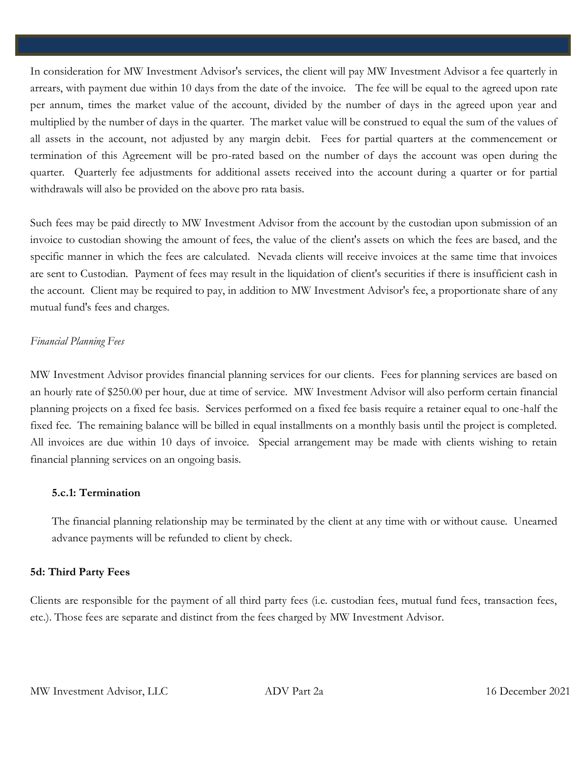In consideration for MW Investment Advisor's services, the client will pay MW Investment Advisor a fee quarterly in arrears, with payment due within 10 days from the date of the invoice. The fee will be equal to the agreed upon rate per annum, times the market value of the account, divided by the number of days in the agreed upon year and multiplied by the number of days in the quarter. The market value will be construed to equal the sum of the values of all assets in the account, not adjusted by any margin debit. Fees for partial quarters at the commencement or termination of this Agreement will be pro-rated based on the number of days the account was open during the quarter. Quarterly fee adjustments for additional assets received into the account during a quarter or for partial withdrawals will also be provided on the above pro rata basis.

Such fees may be paid directly to MW Investment Advisor from the account by the custodian upon submission of an invoice to custodian showing the amount of fees, the value of the client's assets on which the fees are based, and the specific manner in which the fees are calculated. Nevada clients will receive invoices at the same time that invoices are sent to Custodian. Payment of fees may result in the liquidation of client's securities if there is insufficient cash in the account. Client may be required to pay, in addition to MW Investment Advisor's fee, a proportionate share of any mutual fund's fees and charges.

## *Financial Planning Fees*

MW Investment Advisor provides financial planning services for our clients. Fees for planning services are based on an hourly rate of \$250.00 per hour, due at time of service. MW Investment Advisor will also perform certain financial planning projects on a fixed fee basis. Services performed on a fixed fee basis require a retainer equal to one-half the fixed fee. The remaining balance will be billed in equal installments on a monthly basis until the project is completed. All invoices are due within 10 days of invoice. Special arrangement may be made with clients wishing to retain financial planning services on an ongoing basis.

## **5.c.1: Termination**

The financial planning relationship may be terminated by the client at any time with or without cause. Unearned advance payments will be refunded to client by check.

## **5d: Third Party Fees**

Clients are responsible for the payment of all third party fees (i.e. custodian fees, mutual fund fees, transaction fees, etc.). Those fees are separate and distinct from the fees charged by MW Investment Advisor.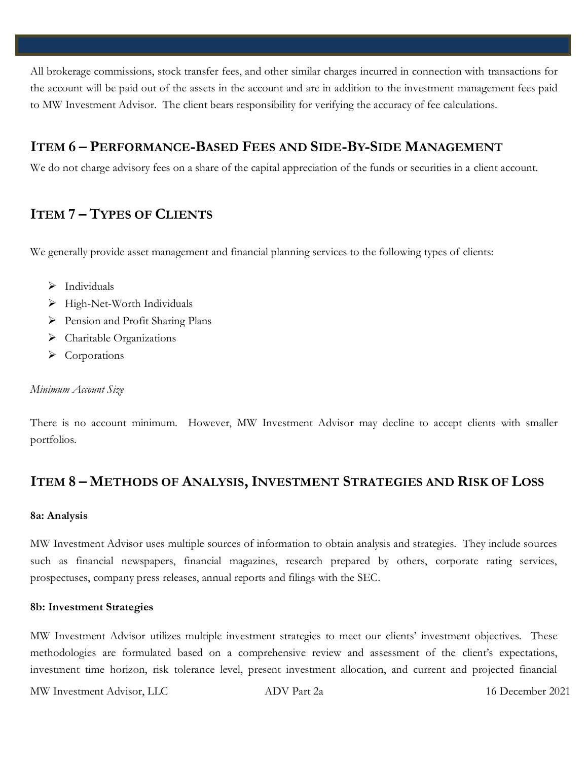All brokerage commissions, stock transfer fees, and other similar charges incurred in connection with transactions for the account will be paid out of the assets in the account and are in addition to the investment management fees paid to MW Investment Advisor. The client bears responsibility for verifying the accuracy of fee calculations.

# <span id="page-7-0"></span>**ITEM 6 – PERFORMANCE-BASED FEES AND SIDE-BY-SIDE MANAGEMENT**

We do not charge advisory fees on a share of the capital appreciation of the funds or securities in a client account.

# <span id="page-7-1"></span>**ITEM 7 – TYPES OF CLIENTS**

We generally provide asset management and financial planning services to the following types of clients:

- $\triangleright$  Individuals
- ➢ High-Net-Worth Individuals
- ➢ Pension and Profit Sharing Plans
- ➢ Charitable Organizations
- ➢ Corporations

## *Minimum Account Size*

There is no account minimum. However, MW Investment Advisor may decline to accept clients with smaller portfolios.

# <span id="page-7-2"></span>**ITEM 8 – METHODS OF ANALYSIS, INVESTMENT STRATEGIES AND RISK OF LOSS**

## **8a: Analysis**

MW Investment Advisor uses multiple sources of information to obtain analysis and strategies. They include sources such as financial newspapers, financial magazines, research prepared by others, corporate rating services, prospectuses, company press releases, annual reports and filings with the SEC.

## **8b: Investment Strategies**

MW Investment Advisor utilizes multiple investment strategies to meet our clients' investment objectives. These methodologies are formulated based on a comprehensive review and assessment of the client's expectations, investment time horizon, risk tolerance level, present investment allocation, and current and projected financial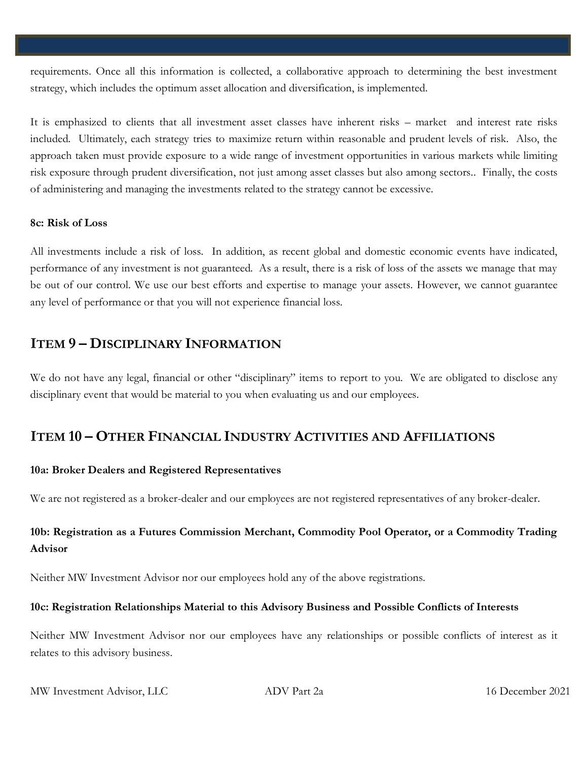requirements. Once all this information is collected, a collaborative approach to determining the best investment strategy, which includes the optimum asset allocation and diversification, is implemented.

It is emphasized to clients that all investment asset classes have inherent risks – market and interest rate risks included. Ultimately, each strategy tries to maximize return within reasonable and prudent levels of risk. Also, the approach taken must provide exposure to a wide range of investment opportunities in various markets while limiting risk exposure through prudent diversification, not just among asset classes but also among sectors.. Finally, the costs of administering and managing the investments related to the strategy cannot be excessive.

## **8c: Risk of Loss**

All investments include a risk of loss. In addition, as recent global and domestic economic events have indicated, performance of any investment is not guaranteed. As a result, there is a risk of loss of the assets we manage that may be out of our control. We use our best efforts and expertise to manage your assets. However, we cannot guarantee any level of performance or that you will not experience financial loss.

# <span id="page-8-0"></span>**ITEM 9 – DISCIPLINARY INFORMATION**

We do not have any legal, financial or other "disciplinary" items to report to you. We are obligated to disclose any disciplinary event that would be material to you when evaluating us and our employees.

# <span id="page-8-1"></span>**ITEM 10 – OTHER FINANCIAL INDUSTRY ACTIVITIES AND AFFILIATIONS**

## **10a: Broker Dealers and Registered Representatives**

We are not registered as a broker-dealer and our employees are not registered representatives of any broker-dealer.

# **10b: Registration as a Futures Commission Merchant, Commodity Pool Operator, or a Commodity Trading Advisor**

Neither MW Investment Advisor nor our employees hold any of the above registrations.

# **10c: Registration Relationships Material to this Advisory Business and Possible Conflicts of Interests**

Neither MW Investment Advisor nor our employees have any relationships or possible conflicts of interest as it relates to this advisory business.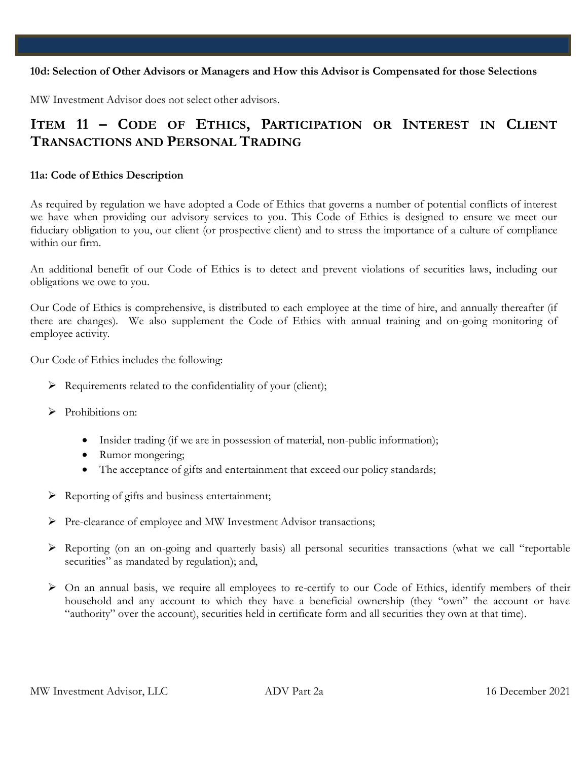## **10d: Selection of Other Advisors or Managers and How this Advisor is Compensated for those Selections**

MW Investment Advisor does not select other advisors.

# <span id="page-9-0"></span>**ITEM 11 – CODE OF ETHICS, PARTICIPATION OR INTEREST IN CLIENT TRANSACTIONS AND PERSONAL TRADING**

## **11a: Code of Ethics Description**

As required by regulation we have adopted a Code of Ethics that governs a number of potential conflicts of interest we have when providing our advisory services to you. This Code of Ethics is designed to ensure we meet our fiduciary obligation to you, our client (or prospective client) and to stress the importance of a culture of compliance within our firm.

An additional benefit of our Code of Ethics is to detect and prevent violations of securities laws, including our obligations we owe to you.

Our Code of Ethics is comprehensive, is distributed to each employee at the time of hire, and annually thereafter (if there are changes). We also supplement the Code of Ethics with annual training and on-going monitoring of employee activity.

Our Code of Ethics includes the following:

- $\triangleright$  Requirements related to the confidentiality of your (client);
- ➢ Prohibitions on:
	- Insider trading (if we are in possession of material, non-public information);
	- Rumor mongering;
	- The acceptance of gifts and entertainment that exceed our policy standards;
- ➢ Reporting of gifts and business entertainment;
- ➢ Pre-clearance of employee and MW Investment Advisor transactions;
- ➢ Reporting (on an on-going and quarterly basis) all personal securities transactions (what we call "reportable securities" as mandated by regulation); and,
- ➢ On an annual basis, we require all employees to re-certify to our Code of Ethics, identify members of their household and any account to which they have a beneficial ownership (they "own" the account or have "authority" over the account), securities held in certificate form and all securities they own at that time).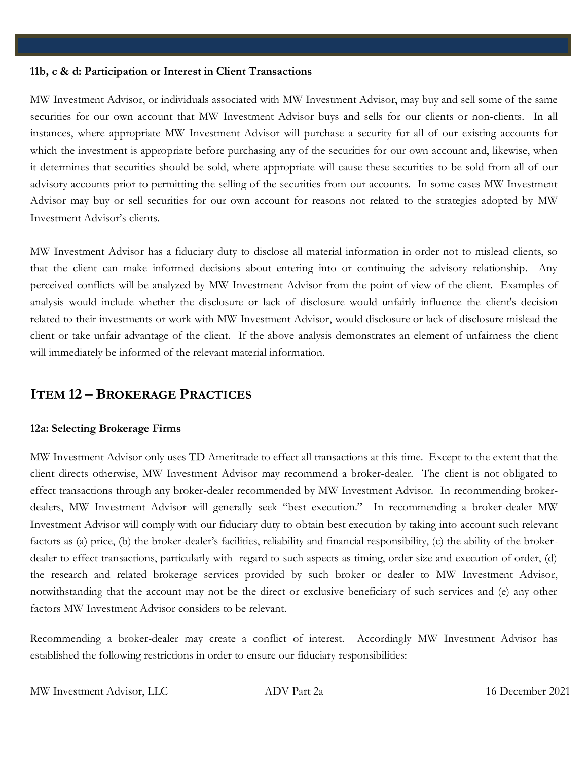#### **11b, c & d: Participation or Interest in Client Transactions**

MW Investment Advisor, or individuals associated with MW Investment Advisor, may buy and sell some of the same securities for our own account that MW Investment Advisor buys and sells for our clients or non-clients. In all instances, where appropriate MW Investment Advisor will purchase a security for all of our existing accounts for which the investment is appropriate before purchasing any of the securities for our own account and, likewise, when it determines that securities should be sold, where appropriate will cause these securities to be sold from all of our advisory accounts prior to permitting the selling of the securities from our accounts. In some cases MW Investment Advisor may buy or sell securities for our own account for reasons not related to the strategies adopted by MW Investment Advisor's clients.

MW Investment Advisor has a fiduciary duty to disclose all material information in order not to mislead clients, so that the client can make informed decisions about entering into or continuing the advisory relationship. Any perceived conflicts will be analyzed by MW Investment Advisor from the point of view of the client. Examples of analysis would include whether the disclosure or lack of disclosure would unfairly influence the client's decision related to their investments or work with MW Investment Advisor, would disclosure or lack of disclosure mislead the client or take unfair advantage of the client. If the above analysis demonstrates an element of unfairness the client will immediately be informed of the relevant material information.

# <span id="page-10-0"></span>**ITEM 12 – BROKERAGE PRACTICES**

## **12a: Selecting Brokerage Firms**

MW Investment Advisor only uses TD Ameritrade to effect all transactions at this time. Except to the extent that the client directs otherwise, MW Investment Advisor may recommend a broker-dealer. The client is not obligated to effect transactions through any broker-dealer recommended by MW Investment Advisor. In recommending brokerdealers, MW Investment Advisor will generally seek "best execution." In recommending a broker-dealer MW Investment Advisor will comply with our fiduciary duty to obtain best execution by taking into account such relevant factors as (a) price, (b) the broker-dealer's facilities, reliability and financial responsibility, (c) the ability of the brokerdealer to effect transactions, particularly with regard to such aspects as timing, order size and execution of order, (d) the research and related brokerage services provided by such broker or dealer to MW Investment Advisor, notwithstanding that the account may not be the direct or exclusive beneficiary of such services and (e) any other factors MW Investment Advisor considers to be relevant.

Recommending a broker-dealer may create a conflict of interest. Accordingly MW Investment Advisor has established the following restrictions in order to ensure our fiduciary responsibilities: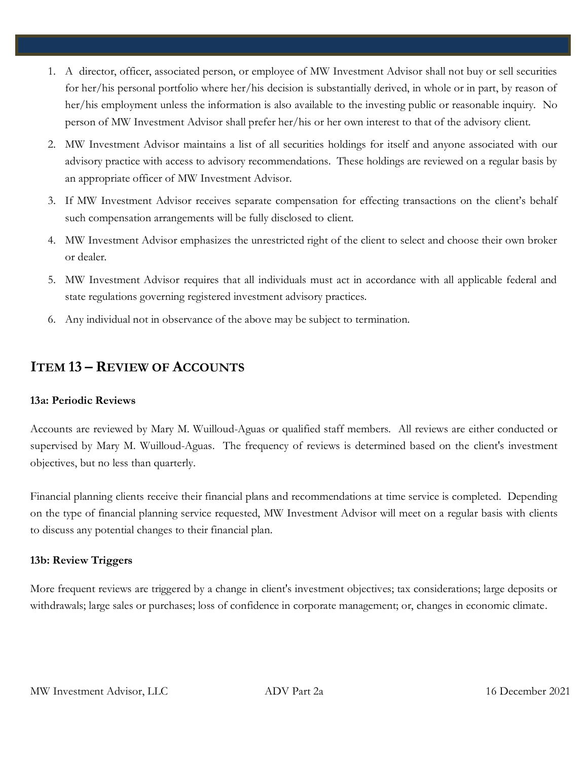- 1. A director, officer, associated person, or employee of MW Investment Advisor shall not buy or sell securities for her/his personal portfolio where her/his decision is substantially derived, in whole or in part, by reason of her/his employment unless the information is also available to the investing public or reasonable inquiry. No person of MW Investment Advisor shall prefer her/his or her own interest to that of the advisory client.
- 2. MW Investment Advisor maintains a list of all securities holdings for itself and anyone associated with our advisory practice with access to advisory recommendations. These holdings are reviewed on a regular basis by an appropriate officer of MW Investment Advisor.
- 3. If MW Investment Advisor receives separate compensation for effecting transactions on the client's behalf such compensation arrangements will be fully disclosed to client.
- 4. MW Investment Advisor emphasizes the unrestricted right of the client to select and choose their own broker or dealer.
- 5. MW Investment Advisor requires that all individuals must act in accordance with all applicable federal and state regulations governing registered investment advisory practices.
- 6. Any individual not in observance of the above may be subject to termination.

# <span id="page-11-0"></span>**ITEM 13 – REVIEW OF ACCOUNTS**

# **13a: Periodic Reviews**

Accounts are reviewed by Mary M. Wuilloud-Aguas or qualified staff members. All reviews are either conducted or supervised by Mary M. Wuilloud-Aguas. The frequency of reviews is determined based on the client's investment objectives, but no less than quarterly.

Financial planning clients receive their financial plans and recommendations at time service is completed. Depending on the type of financial planning service requested, MW Investment Advisor will meet on a regular basis with clients to discuss any potential changes to their financial plan.

# **13b: Review Triggers**

More frequent reviews are triggered by a change in client's investment objectives; tax considerations; large deposits or withdrawals; large sales or purchases; loss of confidence in corporate management; or, changes in economic climate.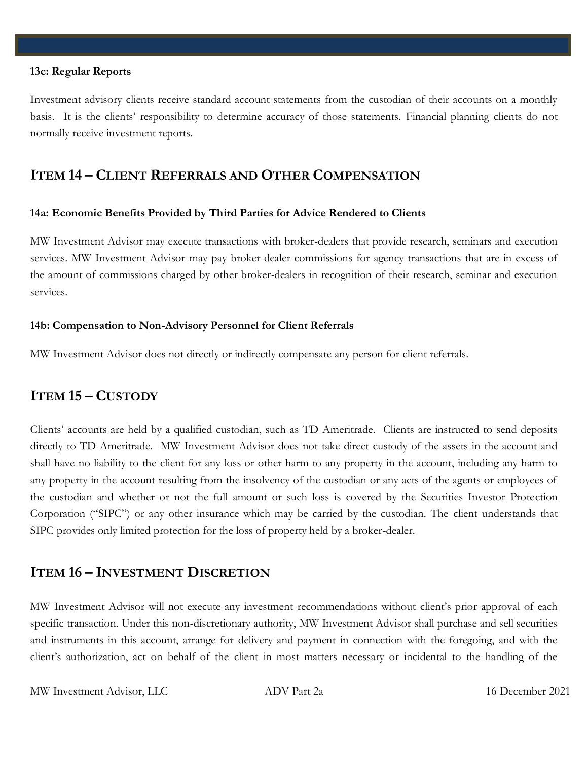#### **13c: Regular Reports**

Investment advisory clients receive standard account statements from the custodian of their accounts on a monthly basis. It is the clients' responsibility to determine accuracy of those statements. Financial planning clients do not normally receive investment reports.

# <span id="page-12-0"></span>**ITEM 14 – CLIENT REFERRALS AND OTHER COMPENSATION**

## **14a: Economic Benefits Provided by Third Parties for Advice Rendered to Clients**

MW Investment Advisor may execute transactions with broker-dealers that provide research, seminars and execution services. MW Investment Advisor may pay broker-dealer commissions for agency transactions that are in excess of the amount of commissions charged by other broker-dealers in recognition of their research, seminar and execution services.

## **14b: Compensation to Non-Advisory Personnel for Client Referrals**

MW Investment Advisor does not directly or indirectly compensate any person for client referrals.

# <span id="page-12-1"></span>**ITEM 15 – CUSTODY**

Clients' accounts are held by a qualified custodian, such as TD Ameritrade. Clients are instructed to send deposits directly to TD Ameritrade. MW Investment Advisor does not take direct custody of the assets in the account and shall have no liability to the client for any loss or other harm to any property in the account, including any harm to any property in the account resulting from the insolvency of the custodian or any acts of the agents or employees of the custodian and whether or not the full amount or such loss is covered by the Securities Investor Protection Corporation ("SIPC") or any other insurance which may be carried by the custodian. The client understands that SIPC provides only limited protection for the loss of property held by a broker-dealer.

# <span id="page-12-2"></span>**ITEM 16 – INVESTMENT DISCRETION**

MW Investment Advisor will not execute any investment recommendations without client's prior approval of each specific transaction. Under this non-discretionary authority, MW Investment Advisor shall purchase and sell securities and instruments in this account, arrange for delivery and payment in connection with the foregoing, and with the client's authorization, act on behalf of the client in most matters necessary or incidental to the handling of the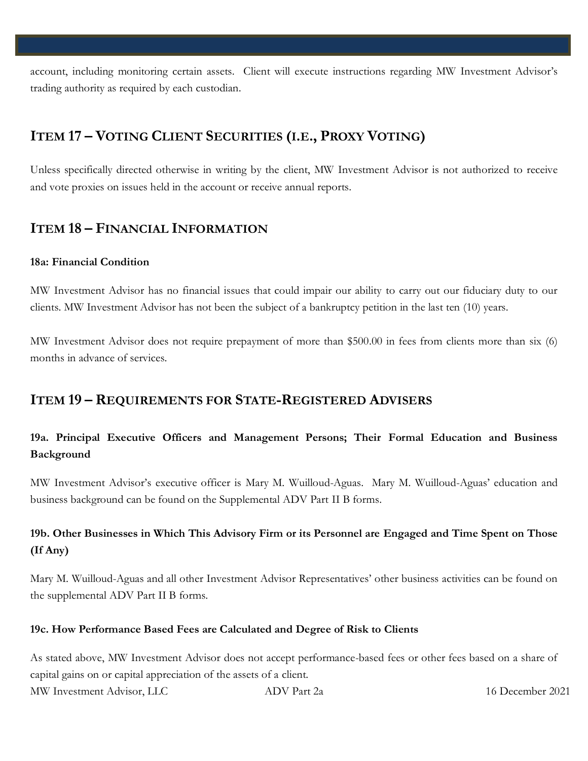account, including monitoring certain assets. Client will execute instructions regarding MW Investment Advisor's trading authority as required by each custodian.

# <span id="page-13-0"></span>**ITEM 17 – VOTING CLIENT SECURITIES (I.E., PROXY VOTING)**

Unless specifically directed otherwise in writing by the client, MW Investment Advisor is not authorized to receive and vote proxies on issues held in the account or receive annual reports.

# <span id="page-13-1"></span>**ITEM 18 – FINANCIAL INFORMATION**

## **18a: Financial Condition**

MW Investment Advisor has no financial issues that could impair our ability to carry out our fiduciary duty to our clients. MW Investment Advisor has not been the subject of a bankruptcy petition in the last ten (10) years.

MW Investment Advisor does not require prepayment of more than \$500.00 in fees from clients more than six (6) months in advance of services.

# <span id="page-13-2"></span>**ITEM 19 – REQUIREMENTS FOR STATE-REGISTERED ADVISERS**

# **19a. Principal Executive Officers and Management Persons; Their Formal Education and Business Background**

MW Investment Advisor's executive officer is Mary M. Wuilloud-Aguas. Mary M. Wuilloud-Aguas' education and business background can be found on the Supplemental ADV Part II B forms.

# **19b. Other Businesses in Which This Advisory Firm or its Personnel are Engaged and Time Spent on Those (If Any)**

Mary M. Wuilloud-Aguas and all other Investment Advisor Representatives' other business activities can be found on the supplemental ADV Part II B forms.

# **19c. How Performance Based Fees are Calculated and Degree of Risk to Clients**

MW Investment Advisor, LLC ADV Part 2a 16 December 2021 As stated above, MW Investment Advisor does not accept performance-based fees or other fees based on a share of capital gains on or capital appreciation of the assets of a client.